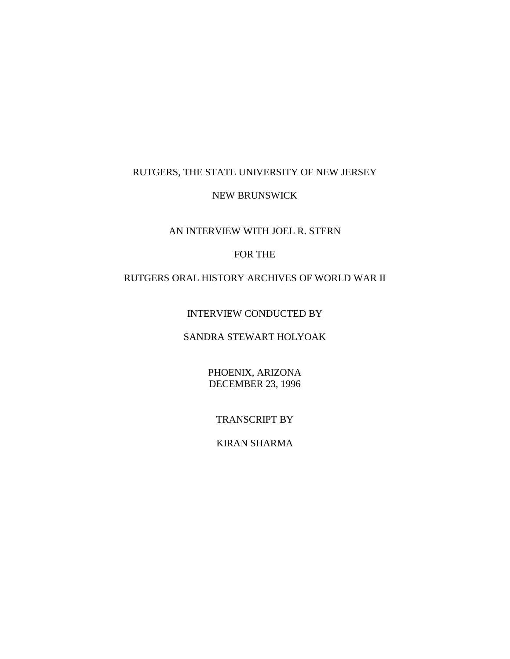## RUTGERS, THE STATE UNIVERSITY OF NEW JERSEY

#### NEW BRUNSWICK

# AN INTERVIEW WITH JOEL R. STERN

# FOR THE

### RUTGERS ORAL HISTORY ARCHIVES OF WORLD WAR II

INTERVIEW CONDUCTED BY

### SANDRA STEWART HOLYOAK

PHOENIX, ARIZONA DECEMBER 23, 1996

TRANSCRIPT BY

KIRAN SHARMA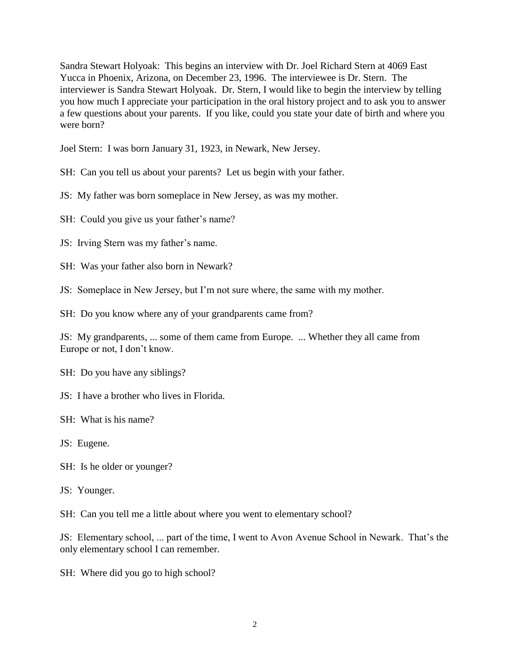Sandra Stewart Holyoak: This begins an interview with Dr. Joel Richard Stern at 4069 East Yucca in Phoenix, Arizona, on December 23, 1996. The interviewee is Dr. Stern. The interviewer is Sandra Stewart Holyoak. Dr. Stern, I would like to begin the interview by telling you how much I appreciate your participation in the oral history project and to ask you to answer a few questions about your parents. If you like, could you state your date of birth and where you were born?

Joel Stern: I was born January 31, 1923, in Newark, New Jersey.

SH: Can you tell us about your parents? Let us begin with your father.

JS: My father was born someplace in New Jersey, as was my mother.

SH: Could you give us your father's name?

JS: Irving Stern was my father's name.

SH: Was your father also born in Newark?

JS: Someplace in New Jersey, but I'm not sure where, the same with my mother.

SH: Do you know where any of your grandparents came from?

JS: My grandparents, ... some of them came from Europe. ... Whether they all came from Europe or not, I don't know.

SH: Do you have any siblings?

JS: I have a brother who lives in Florida.

SH: What is his name?

JS: Eugene.

SH: Is he older or younger?

JS: Younger.

SH: Can you tell me a little about where you went to elementary school?

JS: Elementary school, ... part of the time, I went to Avon Avenue School in Newark. That's the only elementary school I can remember.

SH: Where did you go to high school?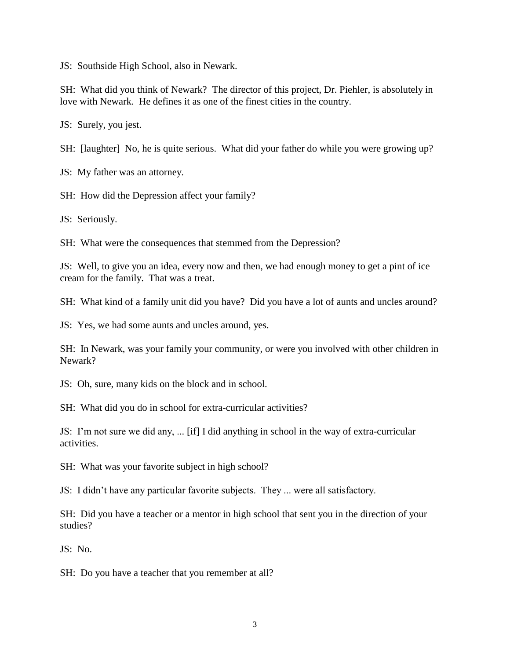JS: Southside High School, also in Newark.

SH: What did you think of Newark? The director of this project, Dr. Piehler, is absolutely in love with Newark. He defines it as one of the finest cities in the country.

JS: Surely, you jest.

SH: [laughter] No, he is quite serious. What did your father do while you were growing up?

JS: My father was an attorney.

SH: How did the Depression affect your family?

JS: Seriously.

SH: What were the consequences that stemmed from the Depression?

JS: Well, to give you an idea, every now and then, we had enough money to get a pint of ice cream for the family. That was a treat.

SH: What kind of a family unit did you have? Did you have a lot of aunts and uncles around?

JS: Yes, we had some aunts and uncles around, yes.

SH: In Newark, was your family your community, or were you involved with other children in Newark?

JS: Oh, sure, many kids on the block and in school.

SH: What did you do in school for extra-curricular activities?

JS: I'm not sure we did any, ... [if] I did anything in school in the way of extra-curricular activities.

SH: What was your favorite subject in high school?

JS: I didn't have any particular favorite subjects. They ... were all satisfactory.

SH: Did you have a teacher or a mentor in high school that sent you in the direction of your studies?

JS: No.

SH: Do you have a teacher that you remember at all?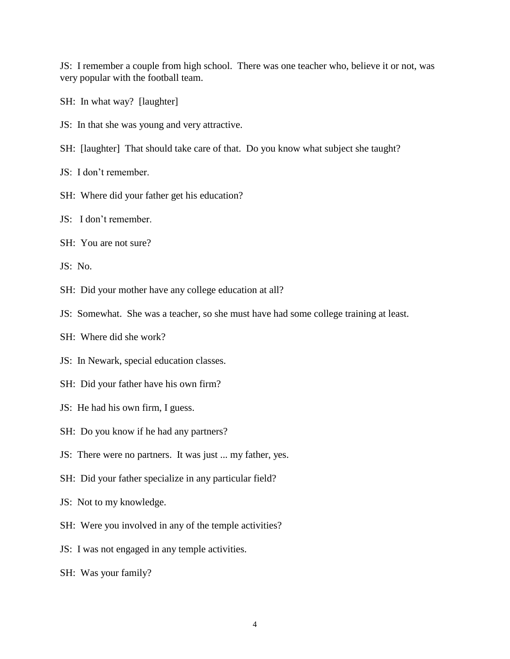JS: I remember a couple from high school. There was one teacher who, believe it or not, was very popular with the football team.

- SH: In what way? [laughter]
- JS: In that she was young and very attractive.
- SH: [laughter] That should take care of that. Do you know what subject she taught?
- JS: I don't remember.
- SH: Where did your father get his education?
- JS: I don't remember.
- SH: You are not sure?

JS: No.

- SH: Did your mother have any college education at all?
- JS: Somewhat. She was a teacher, so she must have had some college training at least.
- SH: Where did she work?
- JS: In Newark, special education classes.
- SH: Did your father have his own firm?
- JS: He had his own firm, I guess.
- SH: Do you know if he had any partners?
- JS: There were no partners. It was just ... my father, yes.
- SH: Did your father specialize in any particular field?
- JS: Not to my knowledge.
- SH: Were you involved in any of the temple activities?
- JS: I was not engaged in any temple activities.
- SH: Was your family?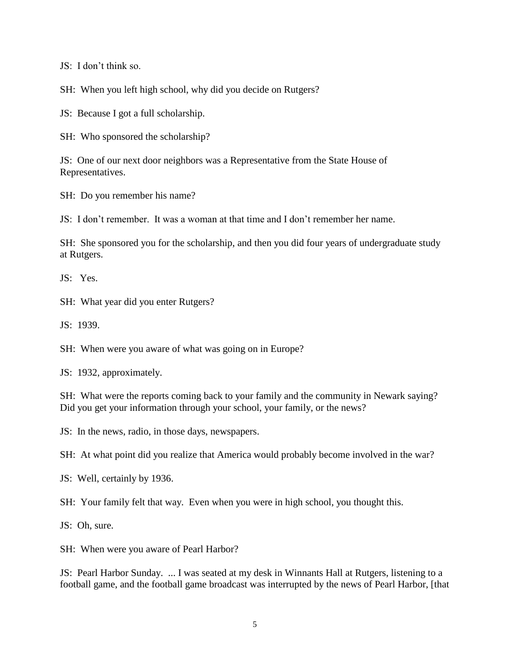JS: I don't think so.

SH: When you left high school, why did you decide on Rutgers?

JS: Because I got a full scholarship.

SH: Who sponsored the scholarship?

JS: One of our next door neighbors was a Representative from the State House of Representatives.

SH: Do you remember his name?

JS: I don't remember. It was a woman at that time and I don't remember her name.

SH: She sponsored you for the scholarship, and then you did four years of undergraduate study at Rutgers.

JS: Yes.

SH: What year did you enter Rutgers?

JS: 1939.

SH: When were you aware of what was going on in Europe?

JS: 1932, approximately.

SH: What were the reports coming back to your family and the community in Newark saying? Did you get your information through your school, your family, or the news?

JS: In the news, radio, in those days, newspapers.

SH: At what point did you realize that America would probably become involved in the war?

JS: Well, certainly by 1936.

SH: Your family felt that way. Even when you were in high school, you thought this.

JS: Oh, sure.

SH: When were you aware of Pearl Harbor?

JS: Pearl Harbor Sunday. ... I was seated at my desk in Winnants Hall at Rutgers, listening to a football game, and the football game broadcast was interrupted by the news of Pearl Harbor, [that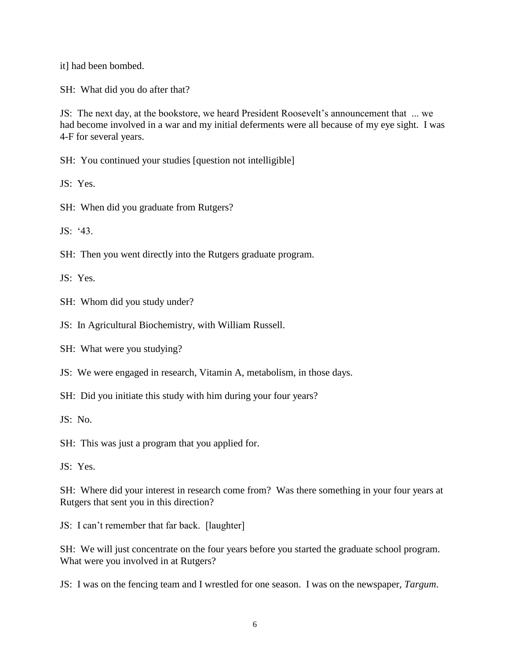it] had been bombed.

SH: What did you do after that?

JS: The next day, at the bookstore, we heard President Roosevelt's announcement that ... we had become involved in a war and my initial deferments were all because of my eye sight. I was 4-F for several years.

SH: You continued your studies [question not intelligible]

JS: Yes.

SH: When did you graduate from Rutgers?

 $JS·$  '43.

SH: Then you went directly into the Rutgers graduate program.

JS: Yes.

SH: Whom did you study under?

JS: In Agricultural Biochemistry, with William Russell.

SH: What were you studying?

JS: We were engaged in research, Vitamin A, metabolism, in those days.

SH: Did you initiate this study with him during your four years?

JS: No.

SH: This was just a program that you applied for.

JS: Yes.

SH: Where did your interest in research come from? Was there something in your four years at Rutgers that sent you in this direction?

JS: I can't remember that far back. [laughter]

SH: We will just concentrate on the four years before you started the graduate school program. What were you involved in at Rutgers?

JS: I was on the fencing team and I wrestled for one season. I was on the newspaper, *Targum*.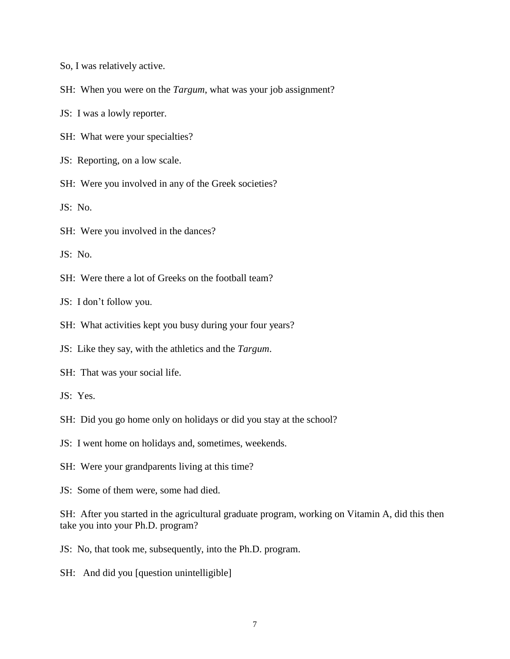So, I was relatively active.

SH: When you were on the *Targum*, what was your job assignment?

JS: I was a lowly reporter.

SH: What were your specialties?

JS: Reporting, on a low scale.

SH: Were you involved in any of the Greek societies?

JS: No.

SH: Were you involved in the dances?

JS: No.

SH: Were there a lot of Greeks on the football team?

JS: I don't follow you.

SH: What activities kept you busy during your four years?

JS: Like they say, with the athletics and the *Targum*.

SH: That was your social life.

JS: Yes.

SH: Did you go home only on holidays or did you stay at the school?

JS: I went home on holidays and, sometimes, weekends.

SH: Were your grandparents living at this time?

JS: Some of them were, some had died.

SH: After you started in the agricultural graduate program, working on Vitamin A, did this then take you into your Ph.D. program?

JS: No, that took me, subsequently, into the Ph.D. program.

SH: And did you [question unintelligible]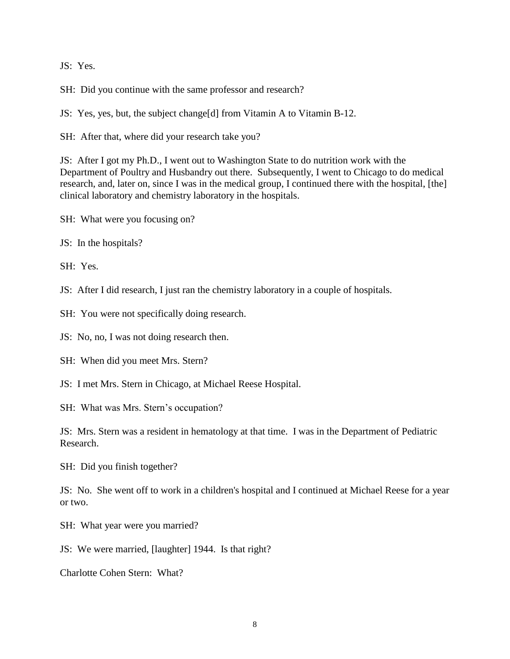JS: Yes.

SH: Did you continue with the same professor and research?

JS: Yes, yes, but, the subject change[d] from Vitamin A to Vitamin B-12.

SH: After that, where did your research take you?

JS: After I got my Ph.D., I went out to Washington State to do nutrition work with the Department of Poultry and Husbandry out there. Subsequently, I went to Chicago to do medical research, and, later on, since I was in the medical group, I continued there with the hospital, [the] clinical laboratory and chemistry laboratory in the hospitals.

SH: What were you focusing on?

JS: In the hospitals?

SH: Yes.

JS: After I did research, I just ran the chemistry laboratory in a couple of hospitals.

SH: You were not specifically doing research.

JS: No, no, I was not doing research then.

SH: When did you meet Mrs. Stern?

JS: I met Mrs. Stern in Chicago, at Michael Reese Hospital.

SH: What was Mrs. Stern's occupation?

JS: Mrs. Stern was a resident in hematology at that time. I was in the Department of Pediatric Research.

SH: Did you finish together?

JS: No. She went off to work in a children's hospital and I continued at Michael Reese for a year or two.

SH: What year were you married?

JS: We were married, [laughter] 1944. Is that right?

Charlotte Cohen Stern: What?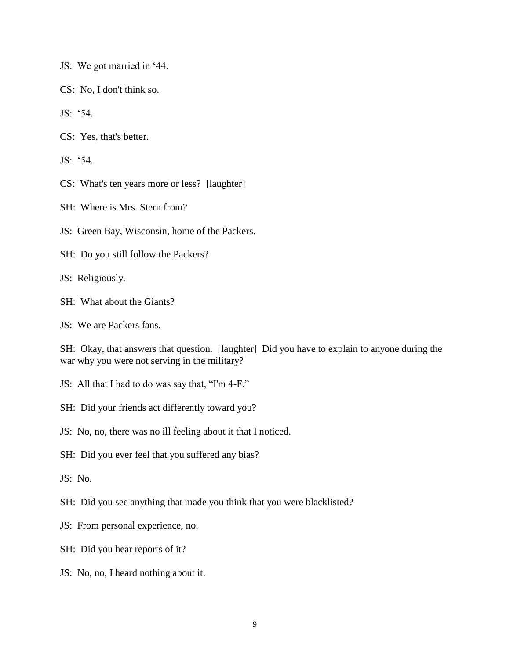- JS: We got married in '44.
- CS: No, I don't think so.
- JS: '54.
- CS: Yes, that's better.
- JS: '54.
- CS: What's ten years more or less? [laughter]
- SH: Where is Mrs. Stern from?
- JS: Green Bay, Wisconsin, home of the Packers.
- SH: Do you still follow the Packers?
- JS: Religiously.
- SH: What about the Giants?
- JS: We are Packers fans.

SH: Okay, that answers that question. [laughter] Did you have to explain to anyone during the war why you were not serving in the military?

- JS: All that I had to do was say that, "I'm 4-F."
- SH: Did your friends act differently toward you?
- JS: No, no, there was no ill feeling about it that I noticed.
- SH: Did you ever feel that you suffered any bias?
- JS: No.
- SH: Did you see anything that made you think that you were blacklisted?
- JS: From personal experience, no.
- SH: Did you hear reports of it?
- JS: No, no, I heard nothing about it.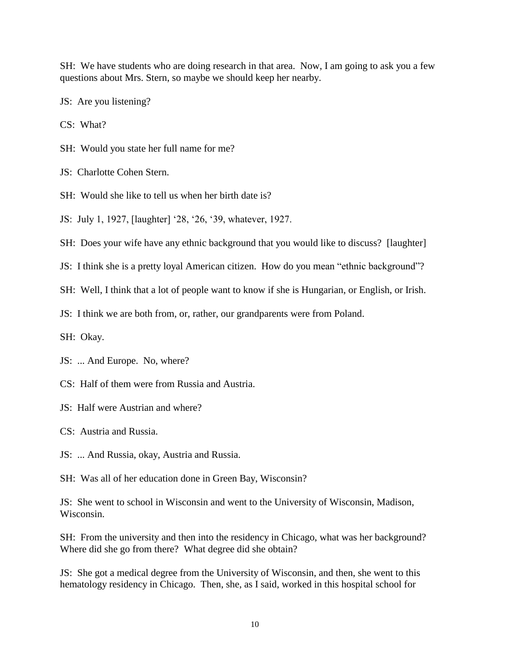SH: We have students who are doing research in that area. Now, I am going to ask you a few questions about Mrs. Stern, so maybe we should keep her nearby.

JS: Are you listening?

CS: What?

SH: Would you state her full name for me?

JS: Charlotte Cohen Stern.

- SH: Would she like to tell us when her birth date is?
- JS: July 1, 1927, [laughter] '28, '26, '39, whatever, 1927.
- SH: Does your wife have any ethnic background that you would like to discuss? [laughter]

JS: I think she is a pretty loyal American citizen. How do you mean "ethnic background"?

SH: Well, I think that a lot of people want to know if she is Hungarian, or English, or Irish.

JS: I think we are both from, or, rather, our grandparents were from Poland.

SH: Okay.

JS: ... And Europe. No, where?

- CS: Half of them were from Russia and Austria.
- JS: Half were Austrian and where?

CS: Austria and Russia.

- JS: ... And Russia, okay, Austria and Russia.
- SH: Was all of her education done in Green Bay, Wisconsin?

JS: She went to school in Wisconsin and went to the University of Wisconsin, Madison, Wisconsin.

SH: From the university and then into the residency in Chicago, what was her background? Where did she go from there? What degree did she obtain?

JS: She got a medical degree from the University of Wisconsin, and then, she went to this hematology residency in Chicago. Then, she, as I said, worked in this hospital school for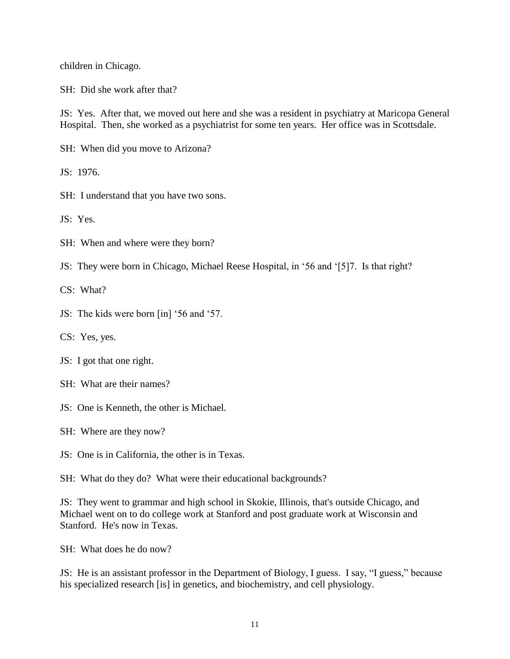children in Chicago.

SH: Did she work after that?

JS: Yes. After that, we moved out here and she was a resident in psychiatry at Maricopa General Hospital. Then, she worked as a psychiatrist for some ten years. Her office was in Scottsdale.

SH: When did you move to Arizona?

JS: 1976.

SH: I understand that you have two sons.

JS: Yes.

SH: When and where were they born?

JS: They were born in Chicago, Michael Reese Hospital, in '56 and '[5]7. Is that right?

CS: What?

JS: The kids were born [in] '56 and '57.

CS: Yes, yes.

JS: I got that one right.

SH: What are their names?

JS: One is Kenneth, the other is Michael.

SH: Where are they now?

JS: One is in California, the other is in Texas.

SH: What do they do? What were their educational backgrounds?

JS: They went to grammar and high school in Skokie, Illinois, that's outside Chicago, and Michael went on to do college work at Stanford and post graduate work at Wisconsin and Stanford. He's now in Texas.

SH: What does he do now?

JS: He is an assistant professor in the Department of Biology, I guess. I say, "I guess," because his specialized research [is] in genetics, and biochemistry, and cell physiology.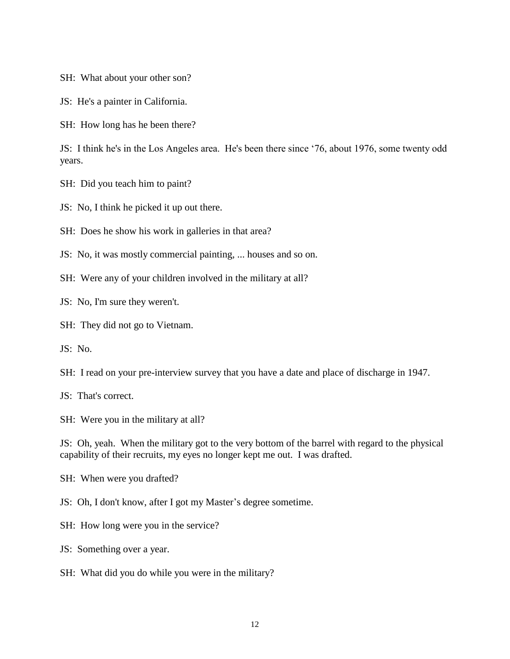SH: What about your other son?

JS: He's a painter in California.

SH: How long has he been there?

JS: I think he's in the Los Angeles area. He's been there since '76, about 1976, some twenty odd years.

SH: Did you teach him to paint?

JS: No, I think he picked it up out there.

SH: Does he show his work in galleries in that area?

JS: No, it was mostly commercial painting, ... houses and so on.

SH: Were any of your children involved in the military at all?

JS: No, I'm sure they weren't.

SH: They did not go to Vietnam.

JS: No.

SH: I read on your pre-interview survey that you have a date and place of discharge in 1947.

JS: That's correct.

SH: Were you in the military at all?

JS: Oh, yeah. When the military got to the very bottom of the barrel with regard to the physical capability of their recruits, my eyes no longer kept me out. I was drafted.

SH: When were you drafted?

JS: Oh, I don't know, after I got my Master's degree sometime.

SH: How long were you in the service?

JS: Something over a year.

SH: What did you do while you were in the military?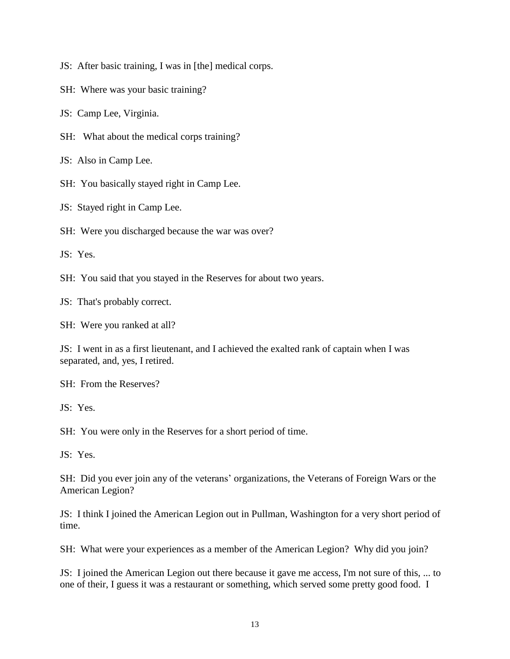- JS: After basic training, I was in [the] medical corps.
- SH: Where was your basic training?
- JS: Camp Lee, Virginia.
- SH: What about the medical corps training?

JS: Also in Camp Lee.

SH: You basically stayed right in Camp Lee.

JS: Stayed right in Camp Lee.

SH: Were you discharged because the war was over?

JS: Yes.

SH: You said that you stayed in the Reserves for about two years.

JS: That's probably correct.

SH: Were you ranked at all?

JS: I went in as a first lieutenant, and I achieved the exalted rank of captain when I was separated, and, yes, I retired.

SH: From the Reserves?

JS: Yes.

SH: You were only in the Reserves for a short period of time.

JS: Yes.

SH: Did you ever join any of the veterans' organizations, the Veterans of Foreign Wars or the American Legion?

JS: I think I joined the American Legion out in Pullman, Washington for a very short period of time.

SH: What were your experiences as a member of the American Legion? Why did you join?

JS: I joined the American Legion out there because it gave me access, I'm not sure of this, ... to one of their, I guess it was a restaurant or something, which served some pretty good food. I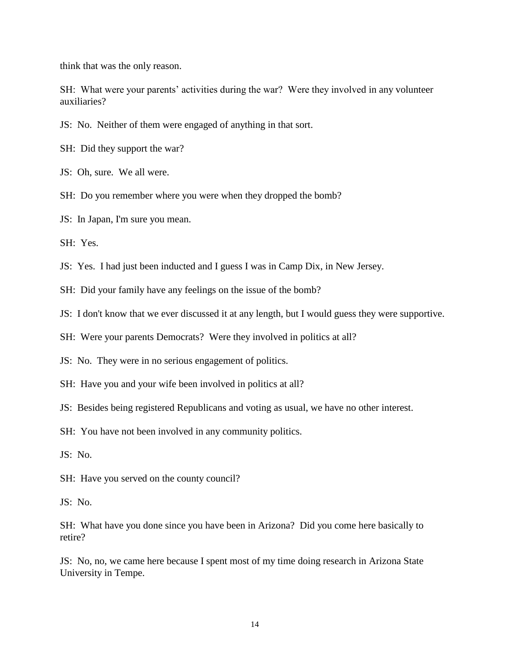think that was the only reason.

SH: What were your parents' activities during the war? Were they involved in any volunteer auxiliaries?

JS: No. Neither of them were engaged of anything in that sort.

SH: Did they support the war?

JS: Oh, sure. We all were.

SH: Do you remember where you were when they dropped the bomb?

JS: In Japan, I'm sure you mean.

SH: Yes.

JS: Yes. I had just been inducted and I guess I was in Camp Dix, in New Jersey.

SH: Did your family have any feelings on the issue of the bomb?

JS: I don't know that we ever discussed it at any length, but I would guess they were supportive.

SH: Were your parents Democrats? Were they involved in politics at all?

JS: No. They were in no serious engagement of politics.

SH: Have you and your wife been involved in politics at all?

JS: Besides being registered Republicans and voting as usual, we have no other interest.

SH: You have not been involved in any community politics.

JS: No.

SH: Have you served on the county council?

JS: No.

SH: What have you done since you have been in Arizona? Did you come here basically to retire?

JS: No, no, we came here because I spent most of my time doing research in Arizona State University in Tempe.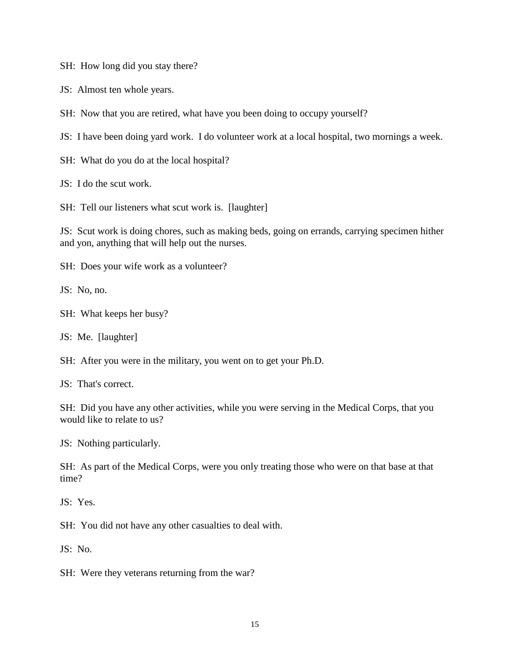SH: How long did you stay there?

JS: Almost ten whole years.

SH: Now that you are retired, what have you been doing to occupy yourself?

JS: I have been doing yard work. I do volunteer work at a local hospital, two mornings a week.

SH: What do you do at the local hospital?

JS: I do the scut work.

SH: Tell our listeners what scut work is. [laughter]

JS: Scut work is doing chores, such as making beds, going on errands, carrying specimen hither and yon, anything that will help out the nurses.

SH: Does your wife work as a volunteer?

JS: No, no.

SH: What keeps her busy?

JS: Me. [laughter]

SH: After you were in the military, you went on to get your Ph.D.

JS: That's correct.

SH: Did you have any other activities, while you were serving in the Medical Corps, that you would like to relate to us?

JS: Nothing particularly.

SH: As part of the Medical Corps, were you only treating those who were on that base at that time?

JS: Yes.

SH: You did not have any other casualties to deal with.

JS: No.

SH: Were they veterans returning from the war?